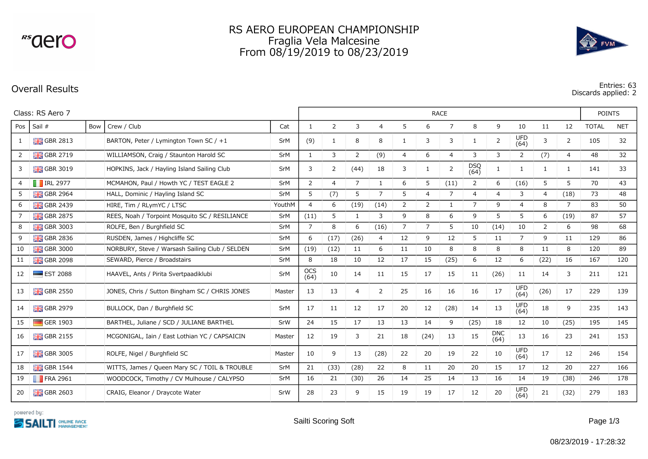<sup>rs</sup>aero

## RS AERO EUROPEAN CHAMPIONSHIP Fraglia Vela Malcesine From 08/19/2019 to 08/23/2019



**Overall Results Entries: 63 Discards applied: 2**

| Class: RS Aero 7 |                           |     |                                                |            | <b>RACE</b>        |                |                |                |                |                |                |                    |                    |                    |                |                | <b>POINTS</b> |            |
|------------------|---------------------------|-----|------------------------------------------------|------------|--------------------|----------------|----------------|----------------|----------------|----------------|----------------|--------------------|--------------------|--------------------|----------------|----------------|---------------|------------|
| Pos              | Sail #                    | Bow | Crew / Club                                    | Cat        | $\mathbf{1}$       | 2              | 3              | $\overline{4}$ | 5              | 6              | 7              | 8                  | 9                  | 10                 | 11             | 12             | <b>TOTAL</b>  | <b>NET</b> |
| $\mathbf{1}$     | <b>H</b> GBR 2813         |     | BARTON, Peter / Lymington Town SC / +1         | SrM        | (9)                | 1              | 8              | 8              | $\mathbf{1}$   | 3              | 3              | $\overline{1}$     | $\overline{2}$     | <b>UFD</b><br>(64) | 3              | $\overline{2}$ | 105           | 32         |
| $\overline{2}$   | $\frac{12}{10}$ GBR 2719  |     | WILLIAMSON, Craig / Staunton Harold SC         | SrM        | $\mathbf{1}$       | 3              | 2              | (9)            | $\overline{4}$ | 6              | $\overline{4}$ | 3                  | 3                  | 2                  | (7)            | 4              | 48            | 32         |
| 3                | $\frac{1}{200}$ GBR 3019  |     | HOPKINS, Jack / Hayling Island Sailing Club    | SrM        | 3                  | 2              | (44)           | 18             | 3              |                | $\overline{2}$ | <b>DSQ</b><br>(64) | $\mathbf{1}$       | 1                  | $\mathbf{1}$   | $\overline{1}$ | 141           | 33         |
| 4                | $\blacksquare$ IRL 2977   |     | MCMAHON, Paul / Howth YC / TEST EAGLE 2        | SrM        | $\overline{2}$     | $\overline{4}$ | $\overline{7}$ | 1              | 6              | 5              | (11)           | 2                  | 6                  | (16)               | 5              | 5              | 70            | 43         |
| 5                | <b>H</b> GBR 2964         |     | HALL, Dominic / Hayling Island SC              | SrM        | 5                  | (7)            | 5              | $\overline{7}$ | 5              | $\overline{4}$ | $\overline{7}$ | 4                  | 4                  | 3                  | 4              | (18)           | 73            | 48         |
| 6                | $\frac{1}{200}$ GBR 2439  |     | HIRE, Tim / RLymYC / LTSC                      | YouthM     | 4                  | 6              | (19)           | (14)           | $\overline{2}$ | $\overline{2}$ | -1             | $\overline{7}$     | 9                  | $\overline{4}$     | 8              | $\overline{7}$ | 83            | 50         |
|                  | $\frac{12}{10}$ GBR 2875  |     | REES, Noah / Torpoint Mosquito SC / RESILIANCE | SrM        | (11)               | 5              | $\mathbf{1}$   | 3              | 9              | 8              | 6              | 9                  | 5                  | 5                  | 6              | (19)           | 87            | 57         |
| 8                | <b>H</b> GBR 3003         |     | ROLFE, Ben / Burghfield SC                     | <b>SrM</b> | $\overline{7}$     | 8              | 6              | (16)           | $\overline{7}$ | $\overline{7}$ | 5              | 10                 | (14)               | 10                 | $\overline{2}$ | 6              | 98            | 68         |
| 9                | <b>H</b> GBR 2836         |     | RUSDEN, James / Highcliffe SC                  | SrM        | 6                  | (17)           | (26)           | 4              | 12             | 9              | 12             | 5                  | 11                 | $\overline{7}$     | 9              | 11             | 129           | 86         |
| 10               | $\frac{1}{200}$ GBR 3000  |     | NORBURY, Steve / Warsash Sailing Club / SELDEN | SrM        | (19)               | (12)           | 11             | 6              | 11             | 10             | 8              | 8                  | 8                  | 8                  | 11             | 8              | 120           | 89         |
| 11               | $\frac{1}{200}$ GBR 2098  |     | SEWARD, Pierce / Broadstairs                   | SrM        | 8                  | 18             | 10             | 12             | 17             | 15             | (25)           | 6                  | 12                 | 6                  | (22)           | 16             | 167           | 120        |
| 12               | $\blacksquare$ EST 2088   |     | HAAVEL, Ants / Pirita Svertpaadiklubi          | SrM        | <b>OCS</b><br>(64) | 10             | 14             | 11             | 15             | 17             | 15             | 11                 | (26)               | 11                 | 14             | 3              | 211           | 121        |
| 13               | $\frac{1}{200}$ GBR 2550  |     | JONES, Chris / Sutton Bingham SC / CHRIS JONES | Master     | 13                 | 13             | $\overline{4}$ | 2              | 25             | 16             | 16             | 16                 | 17                 | <b>UFD</b><br>(64) | (26)           | 17             | 229           | 139        |
| 14               | $\frac{10}{100}$ GBR 2979 |     | BULLOCK, Dan / Burghfield SC                   | SrM        | 17                 | 11             | 12             | 17             | 20             | 12             | (28)           | 14                 | 13                 | <b>UFD</b><br>(64) | 18             | 9              | 235           | 143        |
| 15               | GER 1903                  |     | BARTHEL, Juliane / SCD / JULIANE BARTHEL       | SrW        | 24                 | 15             | 17             | 13             | 13             | 14             | 9              | (25)               | 18                 | 12                 | 10             | (25)           | 195           | 145        |
| 16               | $\frac{1}{26}$ GBR 2155   |     | MCGONIGAL, Iain / East Lothian YC / CAPSAICIN  | Master     | 12                 | 19             | 3              | 21             | 18             | (24)           | 13             | 15                 | <b>DNC</b><br>(64) | 13                 | 16             | 23             | 241           | 153        |
| 17               | $\frac{1}{26}$ GBR 3005   |     | ROLFE, Nigel / Burghfield SC                   | Master     | 10                 | 9              | 13             | (28)           | 22             | 20             | 19             | 22                 | 10                 | <b>UFD</b><br>(64) | 17             | 12             | 246           | 154        |
| 18               | $\frac{1}{26}$ GBR 1544   |     | WITTS, James / Queen Mary SC / TOIL & TROUBLE  | SrM        | 21                 | (33)           | (28)           | 22             | 8              | 11             | 20             | 20                 | 15                 | 17                 | 12             | 20             | 227           | 166        |
| 19               | $\blacksquare$ FRA 2961   |     | WOODCOCK, Timothy / CV Mulhouse / CALYPSO      | SrM        | 16                 | 21             | (30)           | 26             | 14             | 25             | 14             | 13                 | 16                 | 14                 | 19             | (38)           | 246           | 178        |
| 20               | $\frac{1}{2}$ GBR 2603    |     | CRAIG, Eleanor / Draycote Water                | SrW        | 28                 | 23             | 9              | 15             | 19             | 19             | 17             | 12                 | 20                 | <b>UFD</b><br>(64) | 21             | (32)           | 279           | 183        |

powered by: **SSAILTI** *<u>MANAGEMENT</u>*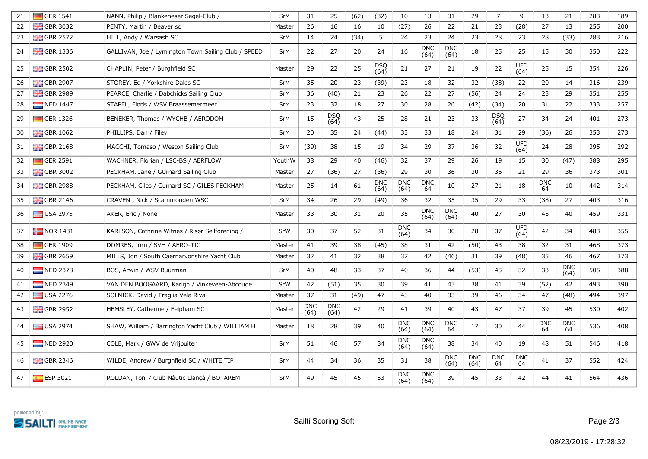| 21 | $\Box$ GER 1541          | NANN, Philip / Blankeneser Segel-Club /             | SrM        | 31                 | 25                 | (62) | (32)               | 10                 | 13                 | 31                 | 29                 | $\overline{7}$     | 9                  | 13               | 21                 | 283 | 189 |
|----|--------------------------|-----------------------------------------------------|------------|--------------------|--------------------|------|--------------------|--------------------|--------------------|--------------------|--------------------|--------------------|--------------------|------------------|--------------------|-----|-----|
| 22 | <b>H</b> GBR 3032        | PENTY, Martin / Beaver sc                           | Master     | 26                 | 16                 | 16   | 10                 | (27)               | 26                 | 22                 | 21                 | 23                 | (28)               | 27               | 13                 | 255 | 200 |
| 23 | <b>BHS</b> GBR 2572      | HILL, Andy / Warsash SC                             | SrM        | 14                 | 24                 | (34) | 5                  | 24                 | 23                 | 24                 | 23                 | 28                 | 23                 | 28               | (33)               | 283 | 216 |
| 24 | <b>H</b> GBR 1336        | GALLIVAN, Joe / Lymington Town Sailing Club / SPEED | SrM        | 22                 | 27                 | 20   | 24                 | 16                 | <b>DNC</b><br>(64) | <b>DNC</b><br>(64) | 18                 | 25                 | 25                 | 15               | 30                 | 350 | 222 |
| 25 | $\frac{1}{20}$ GBR 2502  | CHAPLIN, Peter / Burghfield SC                      | Master     | 29                 | 22                 | 25   | <b>DSQ</b><br>(64) | 21                 | 27                 | 21                 | 19                 | 22                 | <b>UFD</b><br>(64) | 25               | 15                 | 354 | 226 |
| 26 | <b>H</b> GBR 2907        | STOREY, Ed / Yorkshire Dales SC                     | SrM        | 35                 | 20                 | 23   | (39)               | 23                 | 18                 | 32                 | 32                 | (38)               | 22                 | 20               | 14                 | 316 | 239 |
| 27 | <b>H</b> GBR 2989        | PEARCE, Charlie / Dabchicks Sailing Club            | SrM        | 36                 | (40)               | 21   | 23                 | 26                 | 22                 | 27                 | (56)               | 24                 | 24                 | 23               | 29                 | 351 | 255 |
| 28 | NED 1447                 | STAPEL, Floris / WSV Braassemermeer                 | SrM        | 23                 | 32                 | 18   | 27                 | 30                 | 28                 | 26                 | (42)               | (34)               | 20                 | 31               | 22                 | 333 | 257 |
| 29 | $\Box$ GER 1326          | BENEKER, Thomas / WYCHB / AERODOM                   | SrM        | 15                 | <b>DSQ</b><br>(64) | 43   | 25                 | 28                 | 21                 | 23                 | 33                 | <b>DSQ</b><br>(64) | 27                 | 34               | 24                 | 401 | 273 |
| 30 | $\frac{1}{200}$ GBR 1062 | PHILLIPS, Dan / Filey                               | SrM        | 20                 | 35                 | 24   | (44)               | 33                 | 33                 | 18                 | 24                 | 31                 | 29                 | (36)             | 26                 | 353 | 273 |
| 31 | $\frac{1}{20}$ GBR 2168  | MACCHI, Tomaso / Weston Sailing Club                | SrM        | (39)               | 38                 | 15   | 19                 | 34                 | 29                 | 37                 | 36                 | 32                 | <b>UFD</b><br>(64) | 24               | 28                 | 395 | 292 |
| 32 | $\Box$ GER 2591          | WACHNER, Florian / LSC-BS / AERFLOW                 | YouthW     | 38                 | 29                 | 40   | (46)               | 32                 | 37                 | 29                 | 26                 | 19                 | 15                 | 30               | (47)               | 388 | 295 |
| 33 | $\frac{1}{200}$ GBR 3002 | PECKHAM, Jane / GUrnard Sailing Club                | Master     | 27                 | (36)               | 27   | (36)               | 29                 | 30                 | 36                 | 30                 | 36                 | 21                 | 29               | 36                 | 373 | 301 |
| 34 | $\frac{12}{10}$ GBR 2988 | PECKHAM, Giles / Gurnard SC / GILES PECKHAM         | Master     | 25                 | 14                 | 61   | <b>DNC</b><br>(64) | <b>DNC</b><br>(64) | <b>DNC</b><br>64   | 10                 | 27                 | 21                 | 18                 | <b>DNC</b><br>64 | 10                 | 442 | 314 |
| 35 | $GBR$ 2146               | CRAVEN, Nick / Scammonden WSC                       | SrM        | 34                 | 26                 | 29   | (49)               | 36                 | 32                 | 35                 | 35                 | 29                 | 33                 | (38)             | 27                 | 403 | 316 |
| 36 | USA 2975                 | AKER, Eric / None                                   | Master     | 33                 | 30                 | 31   | 20                 | 35                 | <b>DNC</b><br>(64) | <b>DNC</b><br>(64) | 40                 | 27                 | 30                 | 45               | 40                 | 459 | 331 |
| 37 | $\blacksquare$ NOR 1431  | KARLSON, Cathrine Witnes / Risør Seilforening /     | SrW        | 30                 | 37                 | 52   | 31                 | <b>DNC</b><br>(64) | 34                 | 30                 | 28                 | 37                 | <b>UFD</b><br>(64) | 42               | 34                 | 483 | 355 |
| 38 | $\Box$ GER 1909          | DOMRES, Jörn / SVH / AERO-TIC                       | Master     | 41                 | 39                 | 38   | (45)               | 38                 | 31                 | 42                 | (50)               | 43                 | 38                 | 32               | 31                 | 468 | 373 |
| 39 | $\frac{1}{200}$ GBR 2659 | MILLS, Jon / South Caernarvonshire Yacht Club       | Master     | 32                 | 41                 | 32   | 38                 | 37                 | 42                 | (46)               | 31                 | 39                 | (48)               | 35               | 46                 | 467 | 373 |
| 40 | $NED$ 2373               | BOS, Arwin / WSV Buurman                            | SrM        | 40                 | 48                 | 33   | 37                 | 40                 | 36                 | 44                 | (53)               | 45                 | 32                 | 33               | <b>DNC</b><br>(64) | 505 | 388 |
| 41 | $\blacksquare$ NED 2349  | VAN DEN BOOGAARD, Karlijn / Vinkeveen-Abcoude       | SrW        | 42                 | (51)               | 35   | 30                 | 39                 | 41                 | 43                 | 38                 | 41                 | 39                 | (52)             | 42                 | 493 | 390 |
| 42 | USA 2276                 | SOLNICK, David / Fraglia Vela Riva                  | Master     | 37                 | 31                 | (49) | 47                 | 43                 | 40                 | 33                 | 39                 | 46                 | 34                 | 47               | (48)               | 494 | 397 |
| 43 | $\frac{1}{200}$ GBR 2952 | HEMSLEY, Catherine / Felpham SC                     | Master     | <b>DNC</b><br>(64) | <b>DNC</b><br>(64) | 42   | 29                 | 41                 | 39                 | 40                 | 43                 | 47                 | 37                 | 39               | 45                 | 530 | 402 |
| 44 | $\equiv$ USA 2974        | SHAW, William / Barrington Yacht Club / WILLIAM H   | Master     | 18                 | 28                 | 39   | 40                 | <b>DNC</b><br>(64) | <b>DNC</b><br>(64) | <b>DNC</b><br>64   | 17                 | 30                 | 44                 | <b>DNC</b><br>64 | <b>DNC</b><br>64   | 536 | 408 |
| 45 | NED 2920                 | COLE, Mark / GWV de Vrijbuiter                      | SrM        | 51                 | 46                 | 57   | 34                 | <b>DNC</b><br>(64) | <b>DNC</b><br>(64) | 38                 | 34                 | 40                 | 19                 | 48               | 51                 | 546 | 418 |
| 46 | $\frac{1}{200}$ GBR 2346 | WILDE, Andrew / Burghfield SC / WHITE TIP           | SrM        | 44                 | 34                 | 36   | 35                 | 31                 | 38                 | <b>DNC</b><br>(64) | <b>DNC</b><br>(64) | <b>DNC</b><br>64   | <b>DNC</b><br>64   | 41               | 37                 | 552 | 424 |
| 47 | $\epsilon$ ESP 3021      | ROLDAN, Toni / Club Nàutic Llançà / BOTAREM         | <b>SrM</b> | 49                 | 45                 | 45   | 53                 | <b>DNC</b><br>(64) | <b>DNC</b><br>(64) | 39                 | 45                 | 33                 | 42                 | 44               | 41                 | 564 | 436 |